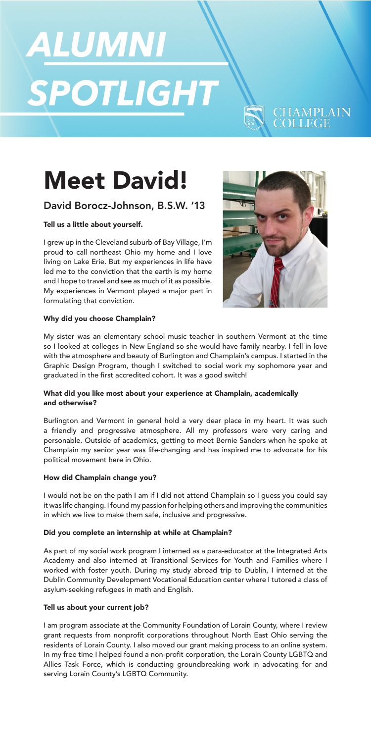# ALUMNI SPOTLIGHT

## Meet David!

### David Borocz-Johnson, B.S.W. '13

#### Tell us a little about yourself.

I grew up in the Cleveland suburb of Bay Village, I'm proud to call northeast Ohio my home and I love living on Lake Erie. But my experiences in life have led me to the conviction that the earth is my home and I hope to travel and see as much of it as possible. My experiences in Vermont played a major part in formulating that conviction.



**CHAMPLAIN**<br>COLLEGE

#### Why did you choose Champlain?

My sister was an elementary school music teacher in southern Vermont at the time so I looked at colleges in New England so she would have family nearby. I fell in love with the atmosphere and beauty of Burlington and Champlain's campus. I started in the Graphic Design Program, though I switched to social work my sophomore year and graduated in the first accredited cohort. It was a good switch!

#### What did you like most about your experience at Champlain, academically and otherwise?

Burlington and Vermont in general hold a very dear place in my heart. It was such a friendly and progressive atmosphere. All my professors were very caring and personable. Outside of academics, getting to meet Bernie Sanders when he spoke at Champlain my senior year was life-changing and has inspired me to advocate for his political movement here in Ohio.

#### How did Champlain change you?

I would not be on the path I am if I did not attend Champlain so I guess you could say it was life changing. I found my passion for helping others and improving the communities in which we live to make them safe, inclusive and progressive.

#### Did you complete an internship at while at Champlain?

As part of my social work program I interned as a para-educator at the Integrated Arts Academy and also interned at Transitional Services for Youth and Families where I worked with foster youth. During my study abroad trip to Dublin, I interned at the Dublin Community Development Vocational Education center where I tutored a class of asylum-seeking refugees in math and English.

#### Tell us about your current job?

I am program associate at the Community Foundation of Lorain County, where I review grant requests from nonprofit corporations throughout North East Ohio serving the residents of Lorain County. I also moved our grant making process to an online system. In my free time I helped found a non-profit corporation, the Lorain County LGBTQ and Allies Task Force, which is conducting groundbreaking work in advocating for and serving Lorain County's LGBTQ Community.